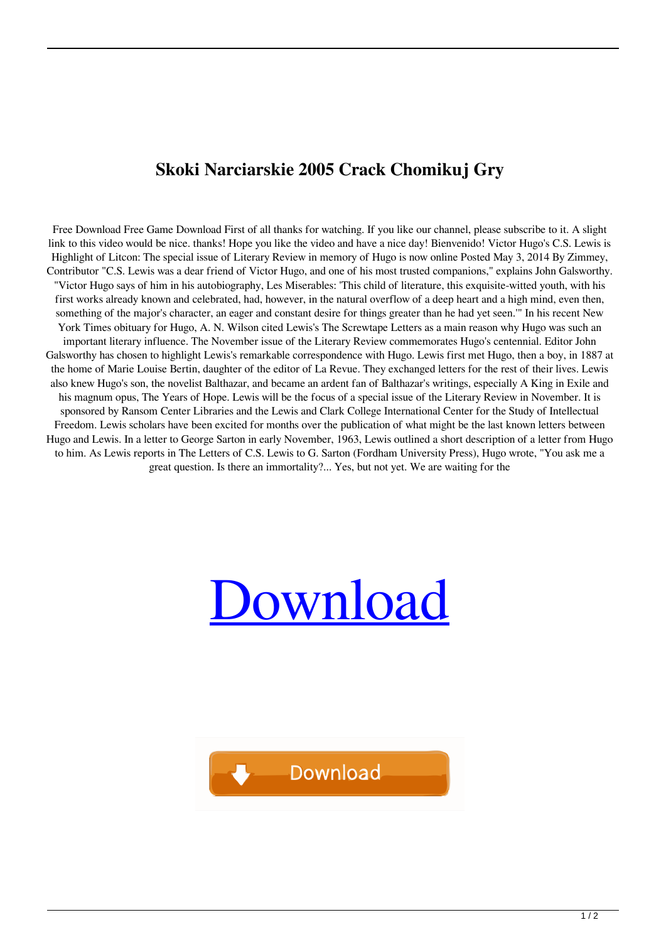## **Skoki Narciarskie 2005 Crack Chomikuj Gry**

Free Download Free Game Download First of all thanks for watching. If you like our channel, please subscribe to it. A slight link to this video would be nice. thanks! Hope you like the video and have a nice day! Bienvenido! Victor Hugo's C.S. Lewis is Highlight of Litcon: The special issue of Literary Review in memory of Hugo is now online Posted May 3, 2014 By Zimmey, Contributor "C.S. Lewis was a dear friend of Victor Hugo, and one of his most trusted companions," explains John Galsworthy. "Victor Hugo says of him in his autobiography, Les Miserables: 'This child of literature, this exquisite-witted youth, with his first works already known and celebrated, had, however, in the natural overflow of a deep heart and a high mind, even then, something of the major's character, an eager and constant desire for things greater than he had yet seen.'" In his recent New York Times obituary for Hugo, A. N. Wilson cited Lewis's The Screwtape Letters as a main reason why Hugo was such an important literary influence. The November issue of the Literary Review commemorates Hugo's centennial. Editor John Galsworthy has chosen to highlight Lewis's remarkable correspondence with Hugo. Lewis first met Hugo, then a boy, in 1887 at the home of Marie Louise Bertin, daughter of the editor of La Revue. They exchanged letters for the rest of their lives. Lewis also knew Hugo's son, the novelist Balthazar, and became an ardent fan of Balthazar's writings, especially A King in Exile and his magnum opus, The Years of Hope. Lewis will be the focus of a special issue of the Literary Review in November. It is sponsored by Ransom Center Libraries and the Lewis and Clark College International Center for the Study of Intellectual Freedom. Lewis scholars have been excited for months over the publication of what might be the last known letters between Hugo and Lewis. In a letter to George Sarton in early November, 1963, Lewis outlined a short description of a letter from Hugo to him. As Lewis reports in The Letters of C.S. Lewis to G. Sarton (Fordham University Press), Hugo wrote, "You ask me a great question. Is there an immortality?... Yes, but not yet. We are waiting for the